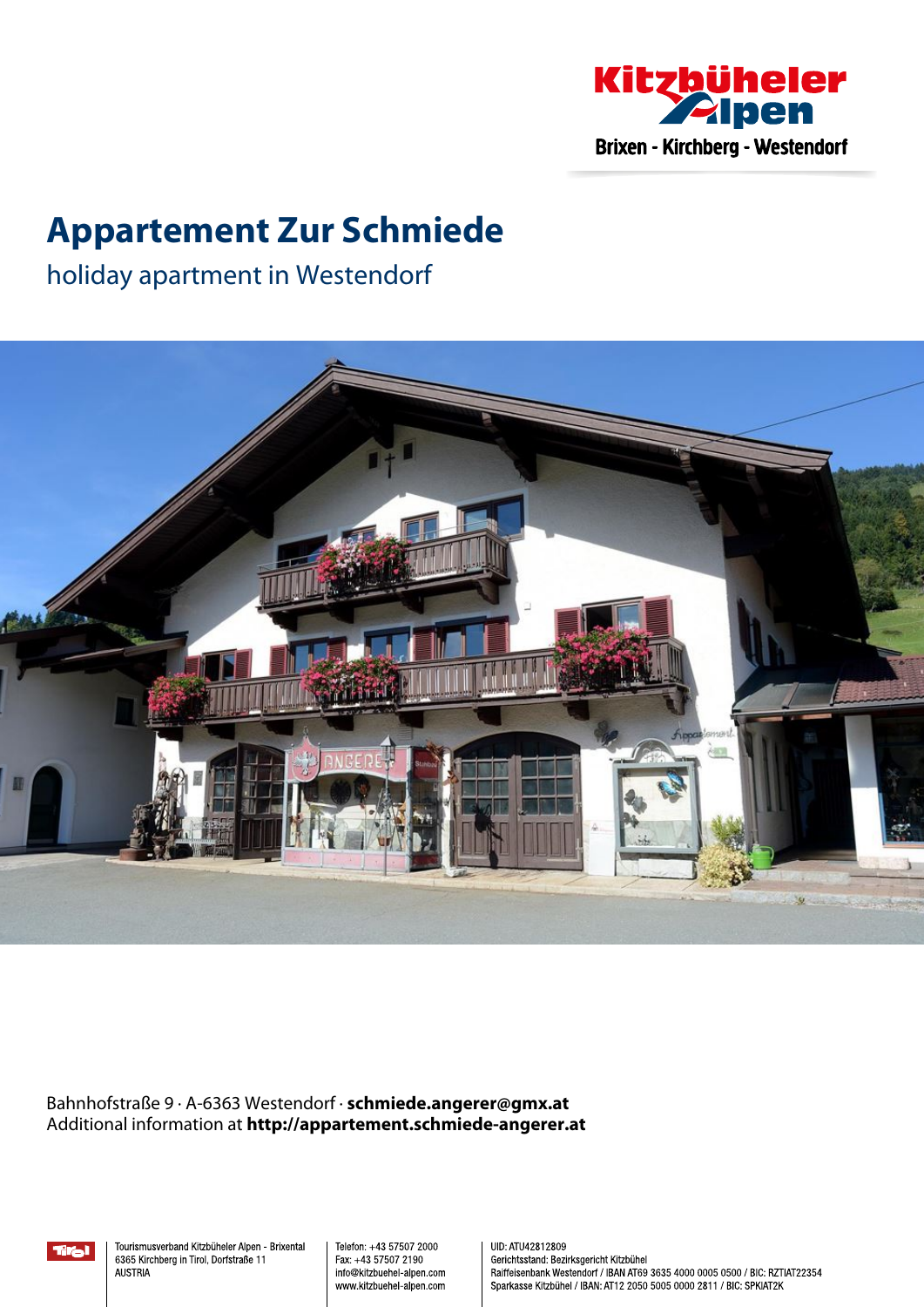

## **Appartement Zur Schmiede**

holiday apartment in Westendorf



Bahnhofstraße 9 · A-6363 Westendorf · **schmiede.angerer@gmx.at** Additional information at **http://appartement.schmiede-angerer.at**

Tral

Tourismusverband Kitzbüheler Alpen - Brixental 6365 Kirchberg in Tirol, Dorfstraße 11 **AUSTRIA** 

Telefon: +43 57507 2000 Fax: +43 57507 2190 info@kitzbuehel-alpen.com www.kitzbuehel-alpen.com UID: ATU42812809 Gerichtsstand: Bezirksgericht Kitzbühel Raiffeisenbank Westendorf / IBAN AT69 3635 4000 0005 0500 / BIC: RZTIAT22354 Sparkasse Kitzbühel / IBAN: AT12 2050 5005 0000 2811 / BIC: SPKIAT2K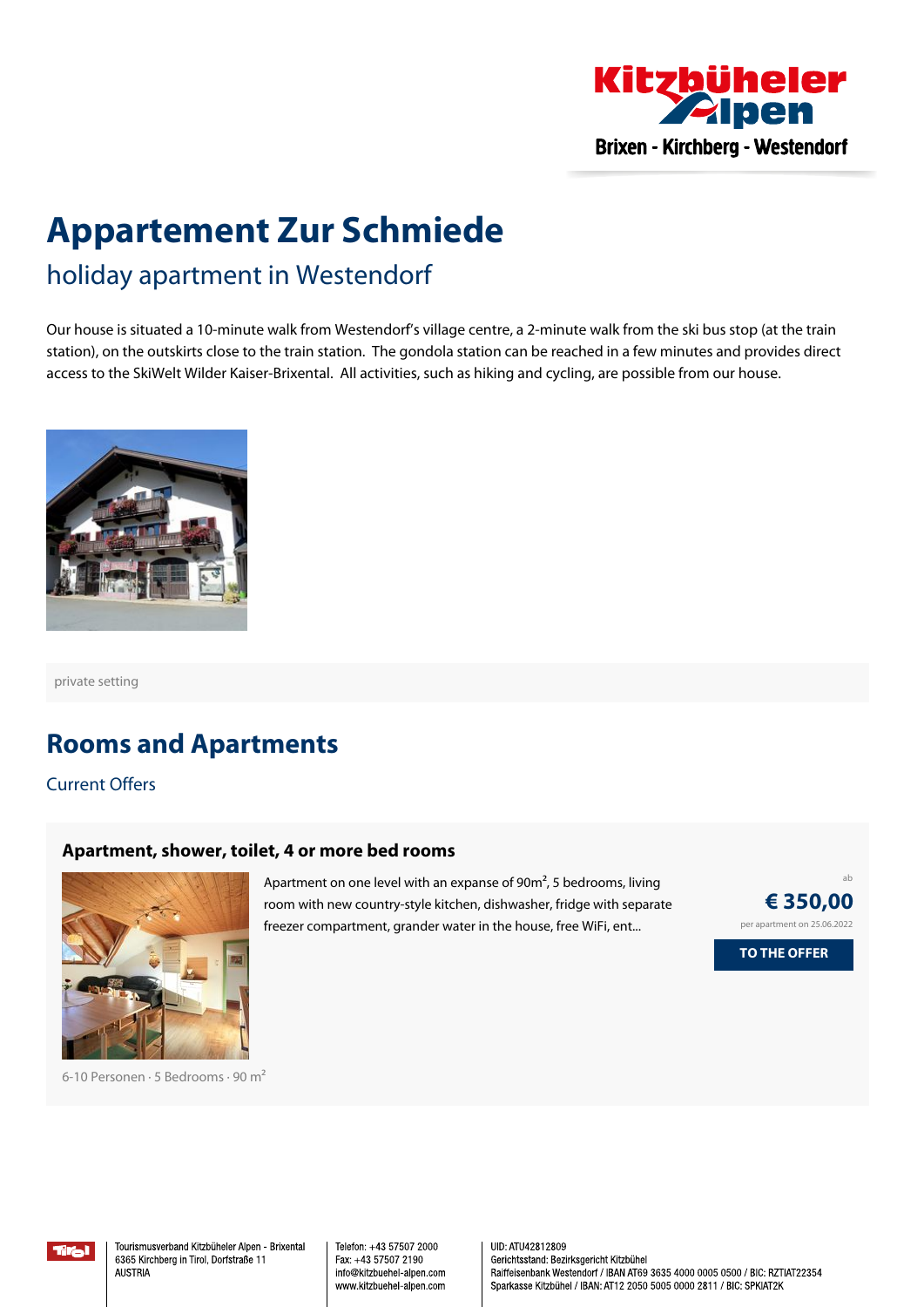

# **Appartement Zur Schmiede**

holiday apartment in Westendorf

Our house is situated <sup>a</sup> 10-minute walk from Westendorf's village centre, <sup>a</sup> 2-minute walk from the ski bus stop (at the train station), on the outskirts close to the train station. The gondola station can be reached in <sup>a</sup> few minutes and provides direct access to the SkiWelt Wilder Kaiser-Brixental. All activities, such as hiking and cycling, are possible from our house.



private setting

## **Rooms and Apartments**

Current Offers

#### **[Apartment,](https://www.kitzbueheler-alpen.com/en/bri/accommodation/booking/appartement-zur-schmiede.html?utm_medium=PDF&utm_campaign=Vermieter-Prospekt&utm_source=Appartement+Zur+Schmiede) shower, toilet, 4 or more bed rooms**



6-10 Personen · 5 Bedrooms · 90 <sup>m</sup><sup>²</sup>

Apartment on one level with an expanse of 90m², <sup>5</sup> bedrooms, living room with new country-style kitchen, dishwasher, fridge with separate freezer compartment, grander water in the house, free WiFi, ent...



Tiral

Tourismusverband Kitzbüheler Alpen - Brixental 6365 Kirchberg in Tirol, Dorfstraße 11 **ALISTRIA** 

Telefon: +43 57507 2000 Fax: +43 57507 2190 info@kitzbuehel-alpen.com www.kitzbuehel-alpen.com UID: ATU42812809 Gerichtsstand: Bezirksgericht Kitzbühel Raiffeisenbank Westendorf / IBAN AT69 3635 4000 0005 0500 / BIC: RZTIAT22354 Sparkasse Kitzbühel / IBAN: AT12 2050 5005 0000 2811 / BIC: SPKIAT2K